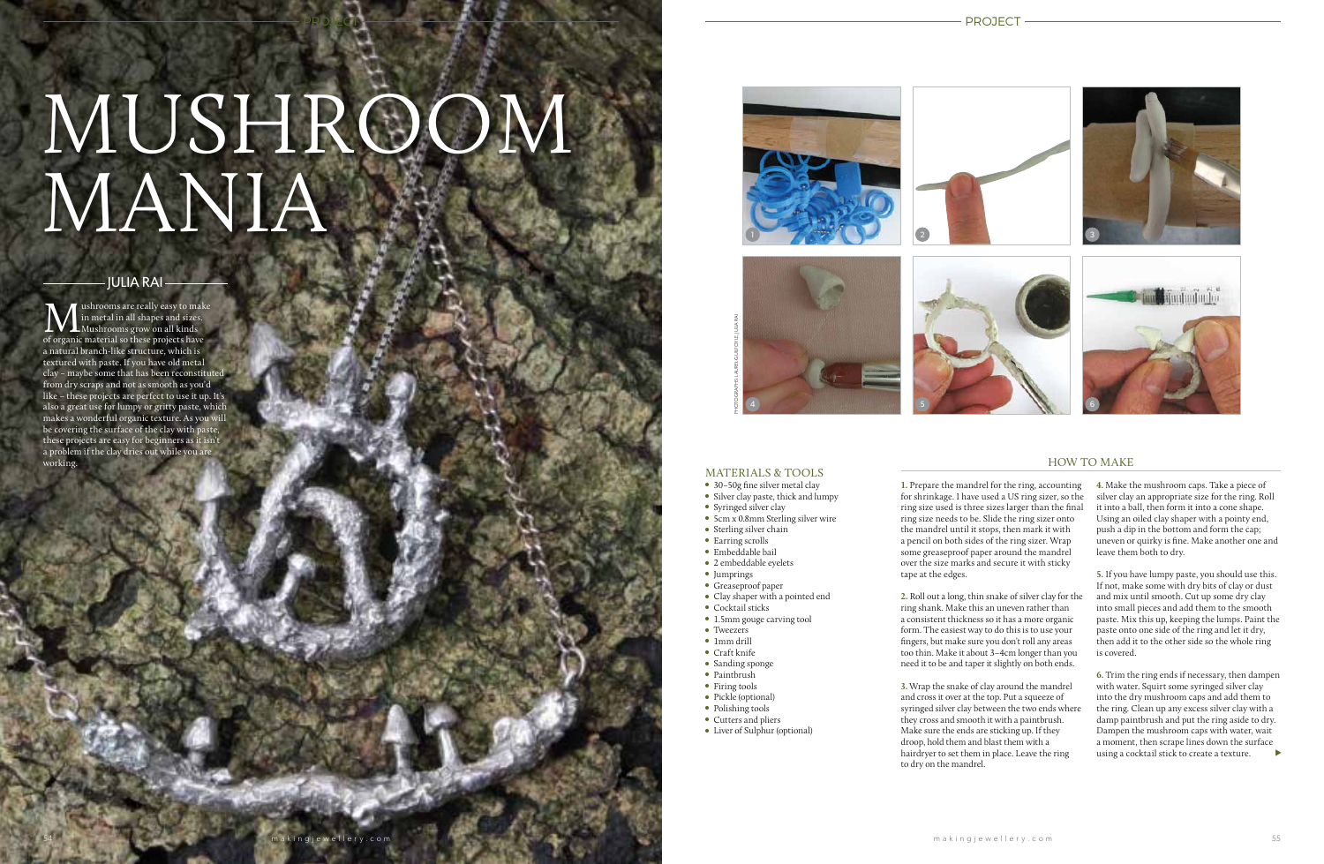# PROJECT

# MUSHROOM MANIA



PROJECT

# HOW TO MAKE

**1.** Prepare the mandrel for the ring, accounting for shrinkage. I have used a US ring sizer, so the ring size used is three sizes larger than the final ring size needs to be. Slide the ring sizer onto the mandrel until it stops, then mark it with a pencil on both sides of the ring sizer. Wrap some greaseproof paper around the mandrel over the size marks and secure it with sticky tape at the edges.

**2.** Roll out a long, thin snake of silver clay for the ring shank. Make this an uneven rather than a consistent thickness so it has a more organic form. The easiest way to do this is to use your fingers, but make sure you don't roll any areas too thin. Make it about 3–4cm longer than you need it to be and taper it slightly on both ends.

**M** ushrooms are really easy to make in metal in all shapes and sizes.<br>The metal in all shapes and sizes.<br>The organic material so these projects have ushrooms are really easy to make in metal in all shapes and sizes. Mushrooms grow on all kinds a natural branch-like structure, which is textured with paste. If you have old metal clay – maybe some that has been reconstituted from dry scraps and not as smooth as you'd like – these projects are perfect to use it up. It's also a great use for lumpy or gritty paste, which makes a wonderful organic texture. As you will be covering the surface of the clay with paste, these projects are easy for beginners as it isn't a problem if the clay dries out while you are working.



**3.** Wrap the snake of clay around the mandrel and cross it over at the top. Put a squeeze of syringed silver clay between the two ends where they cross and smooth it with a paintbrush. Make sure the ends are sticking up. If they droop, hold them and blast them with a hairdryer to set them in place. Leave the ring to dry on the mandrel.

# JULIA RAI

using a cocktail stick to create a texture.  $\qquad \blacktriangleright$ **6.** Trim the ring ends if necessary, then dampen with water. Squirt some syringed silver clay into the dry mushroom caps and add them to the ring. Clean up any excess silver clay with a damp paintbrush and put the ring aside to dry. Dampen the mushroom caps with water, wait a moment, then scrape lines down the surface



#### MATERIALS & TOOLS

- 30-50g fine silver metal clay
- ●● Silver clay paste, thick and lumpy
- Syringed silver clay
- 5cm x 0.8mm Sterling silver wire
- Sterling silver chain
- Earring scrolls
- Embeddable bail
- ●● 2 embeddable eyelets
- ●● Jumprings
- ●● Greaseproof paper
- ●● Clay shaper with a pointed end
- Cocktail sticks
- 1.5mm gouge carving tool
- Tweezers
- ●● 1mm drill
- Craft knife
- Sanding sponge
- Paintbrush
- Firing tools
- Pickle (optional)
- Polishing tools
- Cutters and pliers
- Liver of Sulphur (optional)

akingjewellery.com<br>.

**4.** Make the mushroom caps. Take a piece of silver clay an appropriate size for the ring. Roll it into a ball, then form it into a cone shape. Using an oiled clay shaper with a pointy end, push a dip in the bottom and form the cap; uneven or quirky is fine. Make another one and leave them both to dry.

**5.** If you have lumpy paste, you should use this. If not, make some with dry bits of clay or dust and mix until smooth. Cut up some dry clay into small pieces and add them to the smooth paste. Mix this up, keeping the lumps. Paint the paste onto one side of the ring and let it dry, then add it to the other side so the whole ring is covered.